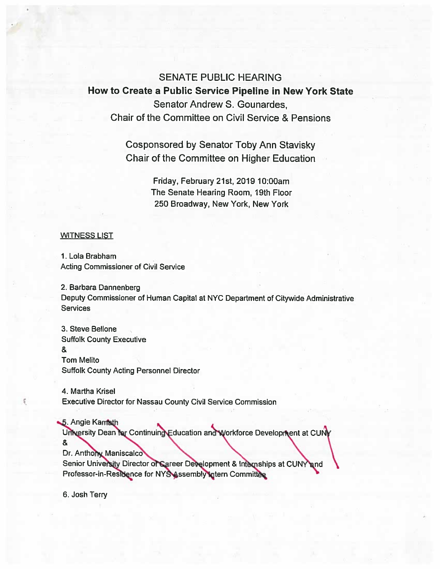**SENATE PUBLIC HEARING** How to Create a Public Service Pipeline in New York State Senator Andrew S. Gounardes. Chair of the Committee on Civil Service & Pensions

> **Cosponsored by Senator Toby Ann Stavisky** Chair of the Committee on Higher Education

> > Friday, February 21st, 2019 10:00am The Senate Hearing Room, 19th Floor 250 Broadway, New York, New York

## **WITNESS LIST**

1. Lola Brabham **Acting Commissioner of Civil Service** 

2. Barbara Dannenberg Deputy Commissioner of Human Capital at NYC Department of Citywide Administrative **Services** 

3. Steve Bellone **Suffolk County Executive**  $\mathbf{R}$ **Tom Melito Suffolk County Acting Personnel Director** 

4. Martha Krisel **Executive Director for Nassau County Civil Service Commission** 

5. Angie Kamath

University Dean for Continuing Education and Workforce Development at CUNY

&

Dr. Anthony Maniscalco

Senior University Director of Career Development & Internships at CUNY and Professor-in-Residence for NYS Assembly Intern Committee

6. Josh Terry